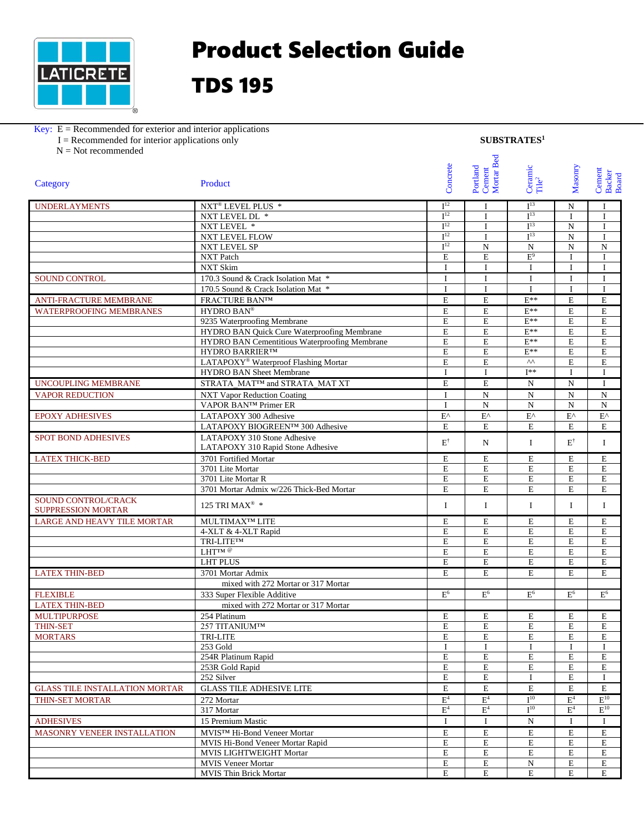

## Product Selection Guide

## TDS 195

## Key:  $E =$  Recommended for exterior and interior applications

| $I =$ Recommended for interior applications only | SUBSTRATES <sup>1</sup> |
|--------------------------------------------------|-------------------------|
|                                                  |                         |

N = Not recommended

| Cement<br>Mortar Bed<br>Concrete<br>Portland<br>Ceramic<br>Tile <sup>2</sup><br>Product<br>Category                                           | Masonry<br>Cement<br>Backer<br>Board |
|-----------------------------------------------------------------------------------------------------------------------------------------------|--------------------------------------|
|                                                                                                                                               |                                      |
|                                                                                                                                               |                                      |
|                                                                                                                                               |                                      |
| I <sup>12</sup><br>I <sup>13</sup><br><b>UNDERLAYMENTS</b><br>NXT <sup>®</sup> LEVEL PLUS *<br>N<br>$\mathbf I$                               | $\mathbf{I}$                         |
| I <sup>12</sup><br>I <sup>13</sup><br>NXT LEVEL DL $\,$ *<br>$\mathbf{I}$<br>$\mathbf{I}$                                                     | $\mathbf{I}$                         |
| I <sup>12</sup><br>I <sup>13</sup><br>NXT LEVEL *<br>${\bf N}$<br>I                                                                           | $\mathbf I$                          |
| I <sup>12</sup><br>I <sup>13</sup><br><b>NXT LEVEL FLOW</b><br>$\mathbf N$<br>$\mathbf{I}$                                                    | $\mathbf{I}$                         |
| I <sup>12</sup><br>NXT LEVEL SP<br>${\bf N}$<br>${\bf N}$<br>N                                                                                | $\overline{N}$                       |
| $E^9$<br>NXT Patch<br>$\mathbf E$<br>$\mathbf E$<br>I                                                                                         | $\mathbf I$                          |
| <b>NXT Skim</b><br>$\mathbf I$<br>$\bf{I}$<br>$\mathbf I$<br>$\bf{I}$                                                                         | $\mathbf I$                          |
| 170.3 Sound & Crack Isolation Mat *<br>$\rm I$<br><b>SOUND CONTROL</b><br>$\mathbf I$<br>$\bf{I}$<br>$\mathbf I$                              | I                                    |
| $\rm I$<br>170.5 Sound & Crack Isolation Mat *<br>I<br>$\mathbf I$<br>$\mathbf{I}$                                                            | $\mathbf{I}$                         |
| $\mathbf E$<br>$\mathbf E$<br>$E^{**}$<br>$\mathbf E$<br>ANTI-FRACTURE MEMBRANE<br><b>FRACTURE BAN™</b>                                       | $\mathbf E$                          |
| HYDRO BAN®<br>$\mathbf E$<br>$\mathbf E$<br>$E^{**}$<br>$\mathbf E$<br><b>WATERPROOFING MEMBRANES</b>                                         | $\mathbf E$                          |
| $E^{**}$<br>9235 Waterproofing Membrane<br>$\mathbf E$<br>E<br>E                                                                              | $\mathbf E$                          |
| $\mathbf E$<br>$E^{**}$<br>HYDRO BAN Quick Cure Waterproofing Membrane<br>$\mathbf E$<br>$\mathbf E$                                          | $\mathbf E$                          |
| HYDRO BAN Cementitious Waterproofing Membrane<br>$E^{**}$<br>$\mathbf E$<br>$\mathbf E$<br>E                                                  | $\mathbf E$                          |
| $E^{**}$<br>E<br><b>HYDRO BARRIER™</b><br>$\mathbf E$<br>$\mathbf E$                                                                          | $\mathbf E$                          |
| $\wedge\wedge$<br>LATAPOXY <sup>®</sup> Waterproof Flashing Mortar<br>E<br>$\mathbf E$<br>E                                                   | $\mathbf E$                          |
| $\mathbf I$<br>$I^{**}$<br>HYDRO BAN Sheet Membrane<br>$\mathbf I$<br>$\mathbf{I}$                                                            | $\mathbf{I}$                         |
| STRATA MAT™ and STRATA MAT XT<br>$\mathbf E$<br>$\mathbf E$<br>${\bf N}$<br>${\bf N}$<br><b>UNCOUPLING MEMBRANE</b>                           | I                                    |
|                                                                                                                                               |                                      |
| $\mathbf I$<br>${\bf N}$<br>${\bf N}$<br><b>VAPOR REDUCTION</b><br><b>NXT Vapor Reduction Coating</b><br>N                                    | $\mathbf N$                          |
| VAPOR BAN™ Primer ER<br>$\mathbf N$<br>N<br>$\mathbf{I}$<br>${\bf N}$                                                                         | ${\bf N}$                            |
| $\mathbf{E}^\wedge$<br>$\mathbf{E}^{\wedge}$<br>$\mathbf{E}^\wedge$<br><b>EPOXY ADHESIVES</b><br>LATAPOXY 300 Adhesive<br>$\mathbf{E}^\wedge$ | $\mathbf{E}^{\wedge}$                |
| LATAPOXY BIOGREEN™ 300 Adhesive<br>$\mathbf E$<br>E<br>E<br>E                                                                                 | E                                    |
| LATAPOXY 310 Stone Adhesive<br><b>SPOT BOND ADHESIVES</b><br>$\mathbf{E}^\dagger$<br>$\mathbf{E}^\dagger$<br>N<br>$\bf{I}$                    | I                                    |
| LATAPOXY 310 Rapid Stone Adhesive                                                                                                             |                                      |
| 3701 Fortified Mortar<br>E<br>$\mathbf E$<br>$\mathbf E$<br><b>LATEX THICK-BED</b><br>E                                                       | $\mathbf E$                          |
| $\mathbf E$<br>$\mathbf E$<br>E<br>$\mathbf E$<br>3701 Lite Mortar                                                                            | $\mathbf E$                          |
| 3701 Lite Mortar R<br>$\mathbf E$<br>$\mathbf E$<br>E<br>$\mathbf E$                                                                          | $\mathbf E$                          |
| 3701 Mortar Admix w/226 Thick-Bed Mortar<br>E<br>E<br>E<br>E                                                                                  | $\mathbf E$                          |
| SOUND CONTROL/CRACK<br>125 TRI MAX® *<br>$\bf{I}$<br>I<br>$\bf{I}$<br>$\bf{I}$<br><b>SUPPRESSION MORTAR</b>                                   | I                                    |
| <b>LARGE AND HEAVY TILE MORTAR</b><br>MULTIMAX <sup>TM</sup> LITE<br>E<br>E<br>E<br>E                                                         | E                                    |
| $\mathbf E$<br>$\mathbf E$<br>$\mathbf E$<br>$\mathbf E$<br>4-XLT & 4-XLT Rapid                                                               | $\mathbf E$                          |
| $\mathbf E$<br>E<br>TRI-LITETM<br>$\mathbf E$<br>$\mathbf E$                                                                                  | $\mathbf E$                          |
| $LHT^{TM}$ @<br>$\mathbf E$<br>$\mathbf E$<br>$\mathbf E$<br>E                                                                                | ${\bf E}$                            |
| <b>LHT PLUS</b><br>$\mathbf E$<br>$\mathbf E$<br>E<br>E                                                                                       | $\mathbf E$                          |
| E<br>$\mathbf E$<br>E<br>E<br><b>LATEX THIN-BED</b><br>3701 Mortar Admix                                                                      | E                                    |
| mixed with 272 Mortar or 317 Mortar                                                                                                           |                                      |
| $\rm E^6$<br>E <sup>6</sup><br>E <sup>6</sup><br>E <sup>6</sup><br><b>FLEXIBLE</b><br>333 Super Flexible Additive                             | E <sup>6</sup>                       |
| <b>LATEX THIN-BED</b><br>mixed with 272 Mortar or 317 Mortar                                                                                  |                                      |
| <b>MULTIPURPOSE</b><br>254 Platinum<br>Е<br>Е<br>Е<br>Ε                                                                                       | Е                                    |
| 257 TITANIUM™<br>$\overline{\mathrm{E}}$<br>${\bf E}$<br>E<br>$\overline{\text{E}}$<br>THIN-SET                                               | ${\bf E}$                            |
| $\mathbf E$<br>E<br>$\mathbf E$<br><b>MORTARS</b><br>TRI-LITE<br>E                                                                            | E                                    |
| 253 Gold<br>I<br>I<br>Ι<br>L                                                                                                                  | Ι.                                   |
| 254R Platinum Rapid<br>$\mathbf E$<br>$\mathbf E$<br>$\mathbf E$<br>$\mathbf E$                                                               | E                                    |
| $\mathbf E$<br>${\bf E}$<br>${\bf E}$<br>$\mathbf E$<br>253R Gold Rapid                                                                       | ${\bf E}$                            |
| $\mathbf E$<br>$\mathbf E$<br>$\mathbf E$<br>252 Silver<br>$\bf{I}$                                                                           | $\mathbf{I}$                         |
| <b>GLASS TILE ADHESIVE LITE</b><br>E<br><b>GLASS TILE INSTALLATION MORTAR</b><br>E<br>E<br>E                                                  | E                                    |
| $\mathbf{E}^4$<br>I <sup>10</sup><br>$\mathbf{E}^4$<br>E <sup>4</sup><br>THIN-SET MORTAR<br>272 Mortar                                        | $E^{10}$                             |
| $I^{10}$<br>$E^4$<br>$E^4$<br>E <sup>4</sup><br>317 Mortar                                                                                    | $\mathbf{E}^{10}$                    |
| <b>ADHESIVES</b><br>$\bf{I}$<br>${\bf N}$<br>15 Premium Mastic<br>$\bf{I}$<br>I                                                               | Ι                                    |
| <b>MASONRY VENEER INSTALLATION</b><br>E<br>MVIS™ Hi-Bond Veneer Mortar<br>E<br>E<br>Е                                                         | E                                    |
| $\mathbf E$<br>${\bf E}$<br>${\bf E}$<br>$\mathbf E$<br>MVIS Hi-Bond Veneer Mortar Rapid                                                      | ${\bf E}$                            |
| $\mathbf E$<br>$\mathbf E$<br>$\mathbf E$<br>$\mathbf E$<br>MVIS LIGHTWEIGHT Mortar                                                           | $\mathbf E$                          |
| E<br>${\bf E}$<br><b>MVIS Veneer Mortar</b><br>N<br>Е                                                                                         | E                                    |
| MVIS Thin Brick Mortar<br>E<br>$\mathbf E$<br>E<br>E                                                                                          | E                                    |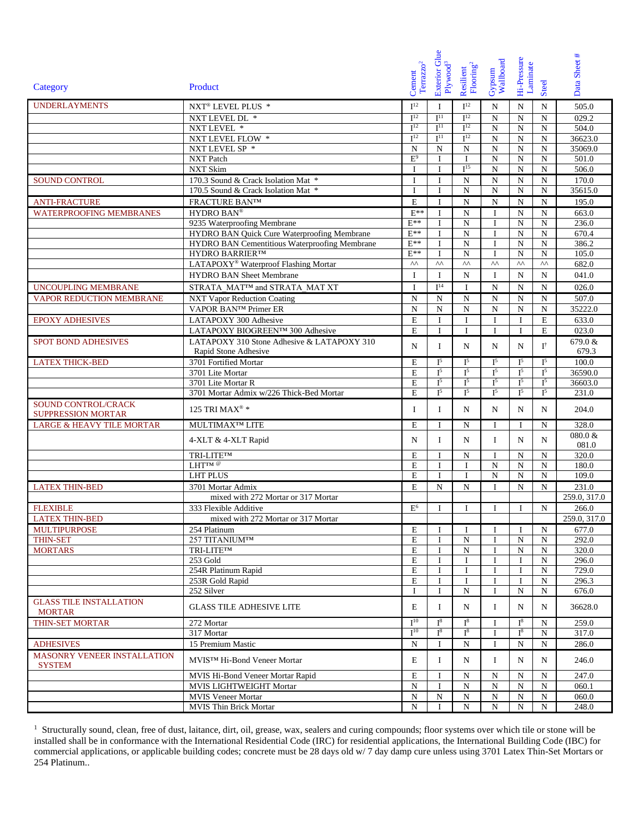|                                                  |                                                      |                                    | Exterior Glue        |                                          |                     |                         |                   |                  |
|--------------------------------------------------|------------------------------------------------------|------------------------------------|----------------------|------------------------------------------|---------------------|-------------------------|-------------------|------------------|
|                                                  |                                                      |                                    |                      |                                          |                     |                         |                   |                  |
|                                                  |                                                      | $\mbox{{\sc Toranzo}}^2$<br>Cement | Plywood <sup>3</sup> | ${\bf Resilient} \atop {\bf Flooring}^2$ | Wallboard<br>Gypsum | Hi-Pressure<br>Laminate |                   | Data Sheet #     |
| Category                                         | Product                                              |                                    |                      |                                          |                     |                         | Steel             |                  |
| <b>UNDERLAYMENTS</b>                             | NXT® LEVEL PLUS *                                    | I <sup>12</sup>                    | I                    | I <sup>12</sup>                          | N                   | N                       | N                 | 505.0            |
|                                                  | NXT LEVEL DL *                                       | I <sup>12</sup>                    | I <sup>11</sup>      | I <sup>12</sup>                          | ${\bf N}$           | $\mathbf N$             | ${\bf N}$         | 029.2            |
|                                                  | NXT LEVEL *                                          | I <sup>12</sup>                    | I <sup>11</sup>      | I <sup>12</sup>                          | ${\bf N}$           | ${\bf N}$               | ${\bf N}$         | 504.0            |
|                                                  | NXT LEVEL FLOW *                                     | I <sup>12</sup>                    | I <sup>11</sup>      | I <sup>12</sup>                          | ${\bf N}$           | ${\bf N}$               | ${\bf N}$         | 36623.0          |
|                                                  | NXT LEVEL SP *                                       | N                                  | N                    | N                                        | ${\bf N}$           | ${\bf N}$               | ${\bf N}$         | 35069.0          |
|                                                  | NXT Patch                                            | $E^9$                              | $\bf{I}$             | Ι.                                       | ${\bf N}$           | ${\bf N}$               | ${\bf N}$         | 501.0            |
|                                                  | NXT Skim                                             | $\mathbf I$                        | $\mathbf I$          | I <sup>15</sup>                          | ${\bf N}$           | ${\bf N}$               | ${\bf N}$         | 506.0            |
| <b>SOUND CONTROL</b>                             | 170.3 Sound & Crack Isolation Mat *                  | $\mathbf I$                        | $\mathbf I$          | ${\bf N}$                                | N                   | ${\bf N}$               | ${\bf N}$         | 170.0            |
|                                                  | 170.5 Sound & Crack Isolation Mat *                  | $\mathbf{I}$                       | $\mathbf I$          | $\mathbf N$                              | N                   | $\mathbf N$             | ${\bf N}$         | 35615.0          |
| <b>ANTI-FRACTURE</b>                             | FRACTURE BANTM                                       | $\mathbf E$                        | $\mathbf{I}$         | ${\bf N}$                                | ${\bf N}$           | ${\bf N}$               | ${\bf N}$         | 195.0            |
| <b>WATERPROOFING MEMBRANES</b>                   | HYDRO BAN®                                           | $E^{**}$                           | $\bf{I}$             | ${\bf N}$                                | $\mathbf I$         | ${\bf N}$               | ${\bf N}$         | 663.0            |
|                                                  | 9235 Waterproofing Membrane                          | $E^{**}$                           | I                    | ${\bf N}$                                | <b>I</b>            | ${\bf N}$               | ${\bf N}$         | 236.0            |
|                                                  | HYDRO BAN Quick Cure Waterproofing Membrane          | $E^{**}$                           | $\mathbf{I}$         | ${\bf N}$                                | $\mathbf{I}$        | ${\bf N}$               | ${\bf N}$         | 670.4            |
|                                                  | <b>HYDRO BAN Cementitious Waterproofing Membrane</b> | $E^{**}$                           | I                    | ${\bf N}$                                | $\mathbf I$         | $\mathbf N$             | ${\bf N}$         | 386.2            |
|                                                  | <b>HYDRO BARRIER™</b>                                | $E^{**}$                           | $\mathbf{I}$         | ${\bf N}$                                | $\mathbf I$         | ${\bf N}$               | N                 | 105.0            |
|                                                  | LATAPOXY® Waterproof Flashing Mortar                 | $\Lambda\Lambda$                   | $\wedge\wedge$       | $\wedge\wedge$                           | $\wedge\wedge$      | $\wedge\wedge$          | $\wedge\wedge$    | 682.0            |
|                                                  | <b>HYDRO BAN Sheet Membrane</b>                      | I                                  | I                    | N                                        | <b>I</b>            | N                       | N                 | 041.0            |
| <b>UNCOUPLING MEMBRANE</b>                       | STRATA MAT™ and STRATA MAT XT                        | $\bf{I}$                           | I <sup>14</sup>      | $\mathbf I$                              | N                   | ${\bf N}$               | ${\bf N}$         | 026.0            |
| VAPOR REDUCTION MEMBRANE                         | <b>NXT Vapor Reduction Coating</b>                   | $\mathbf N$                        | ${\bf N}$            | ${\bf N}$                                | N                   | N                       | ${\bf N}$         | 507.0            |
|                                                  | VAPOR BAN™ Primer ER                                 | N                                  | ${\bf N}$            | ${\bf N}$                                | N                   | ${\bf N}$               | ${\bf N}$         | 35222.0          |
| <b>EPOXY ADHESIVES</b>                           | LATAPOXY 300 Adhesive                                | $\mathbf E$                        | $\bf{I}$             | $\mathbf I$                              | $\bf{I}$            | $\mathbf I$             | $\mathbf E$       | 633.0            |
|                                                  | LATAPOXY BIOGREEN™ 300 Adhesive                      | E                                  | $\bf{I}$             | I                                        | $\mathbf I$         | I                       | $\mathbf E$       | 023.0            |
| <b>SPOT BOND ADHESIVES</b>                       | LATAPOXY 310 Stone Adhesive & LATAPOXY 310           |                                    |                      |                                          |                     |                         |                   |                  |
|                                                  | Rapid Stone Adhesive                                 | N                                  | Ι.                   | N                                        | N                   | N                       | ${\rm I}^\dagger$ | 679.0 &<br>679.3 |
| <b>LATEX THICK-BED</b>                           | 3701 Fortified Mortar                                | E                                  | $I^5$                | I <sup>5</sup>                           | $I^5$               | $I^5$                   | I <sup>5</sup>    | 100.0            |
|                                                  | 3701 Lite Mortar                                     | E                                  | $I^5$                | ${\rm I}^5$                              | $I^5$               | I <sup>5</sup>          | $\mathbf{I}^5$    | 36590.0          |
|                                                  | 3701 Lite Mortar R                                   | E                                  | I <sup>5</sup>       | I <sup>5</sup>                           | I <sup>5</sup>      | I <sup>5</sup>          | I <sup>5</sup>    | 36603.0          |
|                                                  | 3701 Mortar Admix w/226 Thick-Bed Mortar             | E                                  | $I^5$                | I <sup>5</sup>                           | I <sup>5</sup>      | $I^5$                   | I <sup>5</sup>    | 231.0            |
| SOUND CONTROL/CRACK<br><b>SUPPRESSION MORTAR</b> | 125 TRI MAX® *                                       | Ι                                  | Ι.                   | $\mathbf N$                              | N                   | N                       | N                 | 204.0            |
| <b>LARGE &amp; HEAVY TILE MORTAR</b>             | MULTIMAX <sup>TM</sup> LITE                          | E                                  | Ι.                   | N                                        | $\bf{I}$            | $\bf{I}$                | N                 | 328.0            |
|                                                  | 4-XLT & 4-XLT Rapid                                  | N                                  | Ι.                   | $\mathbf N$                              | Ι.                  | N                       | N                 | 080.0 &<br>081.0 |
|                                                  | TRI-LITETM                                           | E                                  | Ι.                   | N                                        | $\mathbf I$         | N                       | N                 | 320.0            |
|                                                  | LHT <sup>IM @</sup>                                  | E                                  | I                    | I                                        | N                   | ${\bf N}$               | $\mathbf N$       | 180.0            |
|                                                  | <b>LHT PLUS</b>                                      | E                                  | I                    | I                                        | ${\bf N}$           | $\mathbf N$             | ${\bf N}$         | 109.0            |
| <b>LATEX THIN-BED</b>                            | 3701 Mortar Admix                                    | E                                  | N                    | $\mathbf N$                              | $\mathbf I$         | N                       | N                 | 231.0            |
|                                                  | mixed with 272 Mortar or 317 Mortar                  |                                    |                      |                                          |                     |                         |                   | 259.0, 317.0     |
| <b>FLEXIBLE</b>                                  | 333 Flexible Additive                                | E <sup>6</sup>                     | I                    | I                                        | I                   | I                       | ${\bf N}$         | 266.0            |
| <b>LATEX THIN-BED</b>                            | mixed with 272 Mortar or 317 Mortar                  |                                    |                      |                                          |                     |                         |                   | 259.0, 317.0     |
| <b>MULTIPURPOSE</b>                              | 254 Platinum                                         | E                                  | $\mathbf{I}$         | Ι.                                       | $\mathbf I$         | <b>I</b>                | N                 | 677.0            |
| <b>THIN-SET</b>                                  | 257 TITANIUM™                                        | E                                  | I                    | ${\bf N}$                                | $\mathbf I$         | N                       | ${\bf N}$         | 292.0            |
| <b>MORTARS</b>                                   | TRI-LITETM                                           | E                                  | I                    | ${\bf N}$                                | <b>I</b>            | N                       | ${\bf N}$         | 320.0            |
|                                                  | 253 Gold                                             | Ε                                  | Ι.                   | I                                        | <b>I</b>            | I                       | ${\bf N}$         | 296.0            |
|                                                  | 254R Platinum Rapid                                  | E                                  | T                    | I                                        | $\;$ I              | I                       | ${\bf N}$         | 729.0            |
|                                                  | 253R Gold Rapid                                      | E                                  | I                    | I                                        | I                   | I                       | ${\bf N}$         | 296.3            |
|                                                  | 252 Silver                                           | $\mathbf{I}$                       | I                    | N                                        | $\mathbf I$         | $\mathbf N$             | ${\bf N}$         | 676.0            |
| <b>GLASS TILE INSTALLATION</b><br><b>MORTAR</b>  | <b>GLASS TILE ADHESIVE LITE</b>                      | E                                  | Ι.                   | N                                        | $\bf{I}$            | N                       | N                 | 36628.0          |
| <b>THIN-SET MORTAR</b>                           | 272 Mortar                                           | $I^{10}$                           | $I^8$                | ${\rm I}^8$                              | <b>I</b>            | $I^8$                   | N                 | 259.0            |
|                                                  | 317 Mortar                                           | $I^{10}$                           | $I^8$                | $I^8$                                    | $\bf{I}$            | $I^8$                   | N                 | 317.0            |
| <b>ADHESIVES</b>                                 | 15 Premium Mastic                                    | N                                  | Ι.                   | N                                        | <b>I</b>            | N                       | N                 | 286.0            |
| MASONRY VENEER INSTALLATION<br><b>SYSTEM</b>     | MVIS™ Hi-Bond Veneer Mortar                          | E                                  | Ι.                   | N                                        | $\bf{I}$            | N                       | N                 | 246.0            |
|                                                  | MVIS Hi-Bond Veneer Mortar Rapid                     | E                                  | <b>I</b>             | N                                        | N                   | N                       | N                 | 247.0            |
|                                                  | MVIS LIGHTWEIGHT Mortar                              | $\mathbf N$                        | I                    | ${\bf N}$                                | ${\bf N}$           | ${\bf N}$               | ${\bf N}$         | 060.1            |
|                                                  | <b>MVIS Veneer Mortar</b>                            | N                                  | N                    | ${\bf N}$                                | ${\bf N}$           | ${\bf N}$               | ${\bf N}$         | 060.0            |
|                                                  | <b>MVIS Thin Brick Mortar</b>                        | N                                  | Ι.                   | N                                        | N                   | N                       | N                 | 248.0            |

<sup>1</sup> Structurally sound, clean, free of dust, laitance, dirt, oil, grease, wax, sealers and curing compounds; floor systems over which tile or stone will be installed shall be in conformance with the International Residential Code (IRC) for residential applications, the International Building Code (IBC) for commercial applications, or applicable building codes; concrete must be 28 days old w/ 7 day damp cure unless using 3701 Latex Thin-Set Mortars or 254 Platinum..